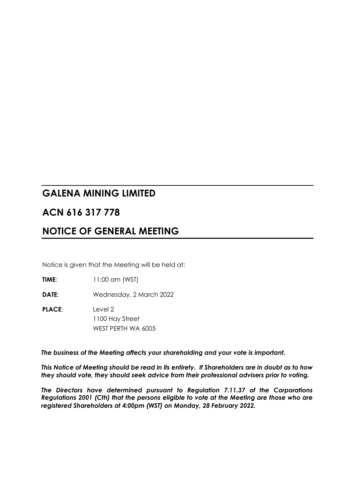# **GALENA MINING LIMITED**

# **ACN 616 317 778**

# **NOTICE OF GENERAL MEETING**

Notice is given that the Meeting will be held at:

**TIME**: 11:00 am (WST)

**DATE**: Wednesday, 2 March 2022

**PLACE**: Level 2 1100 Hay Street WEST PERTH WA 6005

*The business of the Meeting affects your shareholding and your vote is important.*

*This Notice of Meeting should be read in its entirety. If Shareholders are in doubt as to how they should vote, they should seek advice from their professional advisers prior to voting.*

*The Directors have determined pursuant to Regulation 7.11.37 of the Corporations Regulations 2001 (Cth) that the persons eligible to vote at the Meeting are those who are registered Shareholders at 4:00pm (WST) on Monday, 28 February 2022.*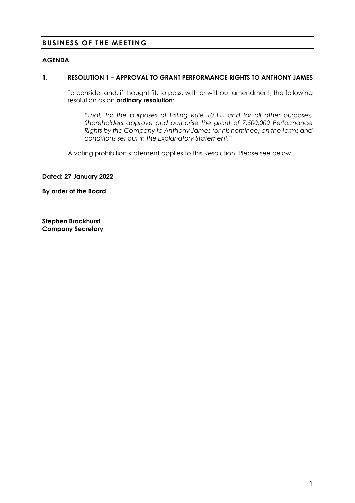# **BUSINESS OF THE MEETING**

#### **AGENDA**

#### **1. RESOLUTION 1 – APPROVAL TO GRANT PERFORMANCE RIGHTS TO ANTHONY JAMES**

To consider and, if thought fit, to pass, with or without amendment, the following resolution as an **ordinary resolution**:

*"That, for the purposes of Listing Rule 10.11, and for all other purposes, Shareholders approve and authorise the grant of 7,500,000 Performance Rights by the Company to Anthony James (or his nominee) on the terms and conditions set out in the Explanatory Statement."*

A voting prohibition statement applies to this Resolution. Please see below.

**Dated: 27 January 2022**

**By order of the Board**

**Stephen Brockhurst Company Secretary**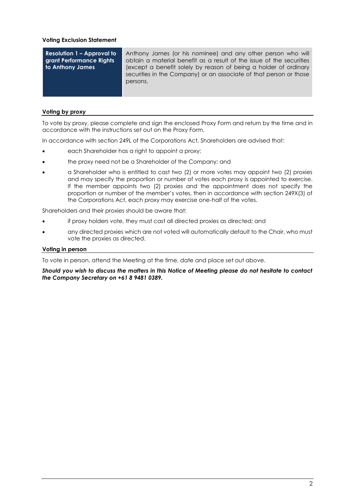#### **Voting Exclusion Statement**

**Resolution 1 – Approval to grant Performance Rights to Anthony James**

Anthony James (or his nominee) and any other person who will obtain a material benefit as a result of the issue of the securities (except a benefit solely by reason of being a holder of ordinary securities in the Company) or an associate of that person or those persons.

#### **Voting by proxy**

To vote by proxy, please complete and sign the enclosed Proxy Form and return by the time and in accordance with the instructions set out on the Proxy Form.

In accordance with section 249L of the Corporations Act, Shareholders are advised that:

- each Shareholder has a right to appoint a proxy;
- the proxy need not be a Shareholder of the Company; and
- a Shareholder who is entitled to cast two (2) or more votes may appoint two (2) proxies and may specify the proportion or number of votes each proxy is appointed to exercise. If the member appoints two (2) proxies and the appointment does not specify the proportion or number of the member's votes, then in accordance with section 249X(3) of the Corporations Act, each proxy may exercise one-half of the votes.

Shareholders and their proxies should be aware that:

- if proxy holders vote, they must cast all directed proxies as directed; and
- any directed proxies which are not voted will automatically default to the Chair, who must vote the proxies as directed.

#### **Voting in person**

To vote in person, attend the Meeting at the time, date and place set out above.

*Should you wish to discuss the matters in this Notice of Meeting please do not hesitate to contact the Company Secretary on +61 8 9481 0389.*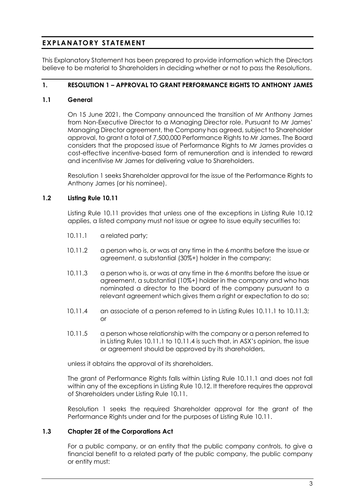# **EXPLANATORY STATEMENT**

This Explanatory Statement has been prepared to provide information which the Directors believe to be material to Shareholders in deciding whether or not to pass the Resolutions.

### **1. RESOLUTION 1 – APPROVAL TO GRANT PERFORMANCE RIGHTS TO ANTHONY JAMES**

#### **1.1 General**

On 15 June 2021, the Company announced the transition of Mr Anthony James from Non-Executive Director to a Managing Director role. Pursuant to Mr James' Managing Director agreement, the Company has agreed, subject to Shareholder approval, to grant a total of 7,500,000 Performance Rights to Mr James. The Board considers that the proposed issue of Performance Rights to Mr James provides a cost-effective incentive-based form of remuneration and is intended to reward and incentivise Mr James for delivering value to Shareholders.

Resolution 1 seeks Shareholder approval for the issue of the Performance Rights to Anthony James (or his nominee).

## **1.2 Listing Rule 10.11**

Listing Rule 10.11 provides that unless one of the exceptions in Listing Rule 10.12 applies, a listed company must not issue or agree to issue equity securities to:

- 10.11.1 a related party;
- 10.11.2 a person who is, or was at any time in the 6 months before the issue or agreement, a substantial (30%+) holder in the company;
- 10.11.3 a person who is, or was at any time in the 6 months before the issue or agreement, a substantial (10%+) holder in the company and who has nominated a director to the board of the company pursuant to a relevant agreement which gives them a right or expectation to do so;
- 10.11.4 an associate of a person referred to in Listing Rules 10.11.1 to 10.11.3; or
- 10.11.5 a person whose relationship with the company or a person referred to in Listing Rules 10.11.1 to 10.11.4 is such that, in ASX's opinion, the issue or agreement should be approved by its shareholders,

unless it obtains the approval of its shareholders.

The grant of Performance Rights falls within Listing Rule 10.11.1 and does not fall within any of the exceptions in Listing Rule 10.12. It therefore requires the approval of Shareholders under Listing Rule 10.11.

Resolution 1 seeks the required Shareholder approval for the grant of the Performance Rights under and for the purposes of Listing Rule 10.11.

#### **1.3 Chapter 2E of the Corporations Act**

For a public company, or an entity that the public company controls, to give a financial benefit to a related party of the public company, the public company or entity must: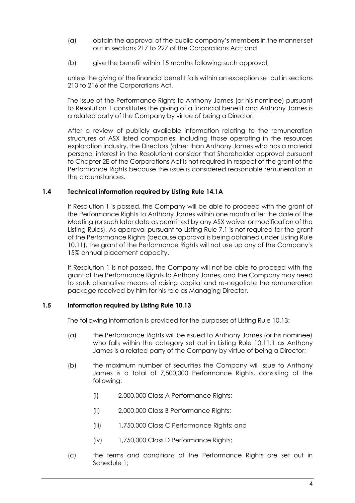- (a) obtain the approval of the public company's members in the manner set out in sections 217 to 227 of the Corporations Act; and
- (b) give the benefit within 15 months following such approval,

unless the giving of the financial benefit falls within an exception set out in sections 210 to 216 of the Corporations Act.

The issue of the Performance Rights to Anthony James (or his nominee) pursuant to Resolution 1 constitutes the giving of a financial benefit and Anthony James is a related party of the Company by virtue of being a Director.

After a review of publicly available information relating to the remuneration structures of ASX listed companies, including those operating in the resources exploration industry, the Directors (other than Anthony James who has a material personal interest in the Resolution) consider that Shareholder approval pursuant to Chapter 2E of the Corporations Act is not required in respect of the grant of the Performance Rights because the issue is considered reasonable remuneration in the circumstances.

#### **1.4 Technical information required by Listing Rule 14.1A**

If Resolution 1 is passed, the Company will be able to proceed with the grant of the Performance Rights to Anthony James within one month after the date of the Meeting (or such later date as permitted by any ASX waiver or modification of the Listing Rules). As approval pursuant to Listing Rule 7.1 is not required for the grant of the Performance Rights (because approval is being obtained under Listing Rule 10.11), the grant of the Performance Rights will not use up any of the Company's 15% annual placement capacity.

If Resolution 1 is not passed, the Company will not be able to proceed with the grant of the Performance Rights to Anthony James, and the Company may need to seek alternative means of raising capital and re-negotiate the remuneration package received by him for his role as Managing Director.

## **1.5 Information required by Listing Rule 10.13**

The following information is provided for the purposes of Listing Rule 10.13:

- (a) the Performance Rights will be issued to Anthony James (or his nominee) who falls within the category set out in Listing Rule 10.11.1 as Anthony James is a related party of the Company by virtue of being a Director;
- (b) the maximum number of securities the Company will issue to Anthony James is a total of 7,500,000 Performance Rights, consisting of the following:
	- (i) 2,000,000 Class A Performance Rights;
	- (ii) 2,000,000 Class B Performance Rights;
	- (iii) 1,750,000 Class C Performance Rights; and
	- (iv) 1,750,000 Class D Performance Rights;
- (c) the terms and conditions of the Performance Rights are set out in Schedule 1;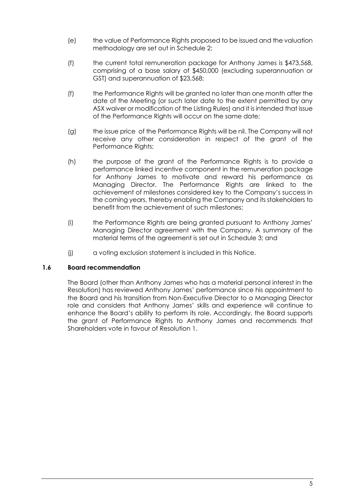- (e) the value of Performance Rights proposed to be issued and the valuation methodology are set out in Schedule 2;
- (f) the current total remuneration package for Anthony James is \$473,568, comprising of a base salary of \$450,000 (excluding superannuation or GST) and superannuation of \$23,568;
- (f) the Performance Rights will be granted no later than one month after the date of the Meeting (or such later date to the extent permitted by any ASX waiver or modification of the Listing Rules) and it is intended that issue of the Performance Rights will occur on the same date;
- (g) the issue price of the Performance Rights will be nil. The Company will not receive any other consideration in respect of the grant of the Performance Rights;
- (h) the purpose of the grant of the Performance Rights is to provide a performance linked incentive component in the remuneration package for Anthony James to motivate and reward his performance as Managing Director. The Performance Rights are linked to the achievement of milestones considered key to the Company's success in the coming years, thereby enabling the Company and its stakeholders to benefit from the achievement of such milestones;
- (i) the Performance Rights are being granted pursuant to Anthony James' Managing Director agreement with the Company. A summary of the material terms of the agreement is set out in Schedule 3; and
- (j) a voting exclusion statement is included in this Notice.

#### **1.6 Board recommendation**

The Board (other than Anthony James who has a material personal interest in the Resolution) has reviewed Anthony James' performance since his appointment to the Board and his transition from Non-Executive Director to a Managing Director role and considers that Anthony James' skills and experience will continue to enhance the Board's ability to perform its role. Accordingly, the Board supports the grant of Performance Rights to Anthony James and recommends that Shareholders vote in favour of Resolution 1.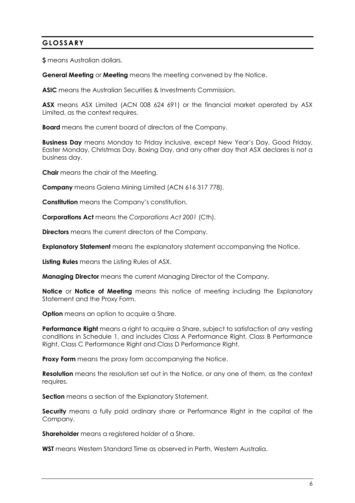# **GLOSSARY**

**\$** means Australian dollars.

**General Meeting** or **Meeting** means the meeting convened by the Notice.

**ASIC** means the Australian Securities & Investments Commission.

**ASX** means ASX Limited (ACN 008 624 691) or the financial market operated by ASX Limited, as the context requires.

**Board** means the current board of directors of the Company.

**Business Day** means Monday to Friday inclusive, except New Year's Day, Good Friday, Easter Monday, Christmas Day, Boxing Day, and any other day that ASX declares is not a business day.

**Chair** means the chair of the Meeting.

**Company** means Galena Mining Limited (ACN 616 317 778).

**Constitution** means the Company's constitution.

**Corporations Act** means the *Corporations Act 2001* (Cth).

**Directors** means the current directors of the Company.

**Explanatory Statement** means the explanatory statement accompanying the Notice.

**Listing Rules** means the Listing Rules of ASX.

**Managing Director** means the current Managing Director of the Company.

**Notice** or **Notice of Meeting** means this notice of meeting including the Explanatory Statement and the Proxy Form.

**Option** means an option to acquire a Share.

**Performance Right** means a right to acquire a Share, subject to satisfaction of any vesting conditions in Schedule 1, and includes Class A Performance Right, Class B Performance Right, Class C Performance Right and Class D Performance Right.

**Proxy Form** means the proxy form accompanying the Notice.

**Resolution** means the resolution set out in the Notice, or any one of them, as the context requires.

**Section** means a section of the Explanatory Statement.

**Security** means a fully paid ordinary share or Performance Right in the capital of the Company.

**Shareholder** means a registered holder of a Share.

**WST** means Western Standard Time as observed in Perth, Western Australia.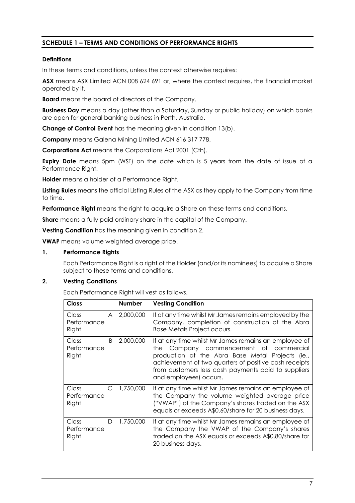# **SCHEDULE 1 – TERMS AND CONDITIONS OF PERFORMANCE RIGHTS**

#### **Definitions**

In these terms and conditions, unless the context otherwise requires:

**ASX** means ASX Limited ACN 008 624 691 or, where the context requires, the financial market operated by it.

**Board** means the board of directors of the Company.

**Business Day** means a day (other than a Saturday, Sunday or public holiday) on which banks are open for general banking business in Perth, Australia.

**Change of Control Event** has the meaning given in condition 13(b).

**Company** means Galena Mining Limited ACN 616 317 778.

**Corporations Act** means the Corporations Act 2001 (Cth).

**Expiry Date** means 5pm (WST) on the date which is 5 years from the date of issue of a Performance Right.

**Holder** means a holder of a Performance Right.

**Listing Rules** means the official Listing Rules of the ASX as they apply to the Company from time to time.

**Performance Right** means the right to acquire a Share on these terms and conditions.

**Share** means a fully paid ordinary share in the capital of the Company.

**Vesting Condition** has the meaning given in condition 2.

**VWAP** means volume weighted average price.

#### **1. Performance Rights**

Each Performance Right is a right of the Holder (and/or its nominees) to acquire a Share subject to these terms and conditions.

#### **2. Vesting Conditions**

Each Performance Right will vest as follows.

| <b>Class</b>                       | <b>Number</b> | <b>Vesting Condition</b>                                                                                                                                                                                                                                                                          |
|------------------------------------|---------------|---------------------------------------------------------------------------------------------------------------------------------------------------------------------------------------------------------------------------------------------------------------------------------------------------|
| Class<br>A<br>Performance<br>Right | 2,000,000     | If at any time whilst Mr James remains employed by the<br>Company, completion of construction of the Abra<br>Base Metals Project occurs.                                                                                                                                                          |
| B<br>Class<br>Performance<br>Right | 2,000,000     | If at any time whilst Mr James remains an employee of<br>Company commencement of commercial<br>the.<br>production at the Abra Base Metal Projects (ie.,<br>achievement of two quarters of positive cash receipts<br>from customers less cash payments paid to suppliers<br>and employees) occurs. |
| C<br>Class<br>Performance<br>Right | 1,750,000     | If at any time whilst Mr James remains an employee of<br>the Company the volume weighted average price<br>("VWAP") of the Company's shares traded on the ASX<br>equals or exceeds A\$0.60/share for 20 business days.                                                                             |
| Class<br>D<br>Performance<br>Right | 1,750,000     | If at any time whilst Mr James remains an employee of<br>the Company the VWAP of the Company's shares<br>traded on the ASX equals or exceeds A\$0.80/share for<br>20 business days.                                                                                                               |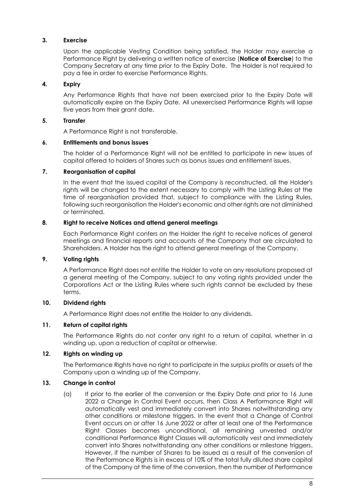#### **3. Exercise**

Upon the applicable Vesting Condition being satisfied, the Holder may exercise a Performance Right by delivering a written notice of exercise (**Notice of Exercise**) to the Company Secretary at any time prior to the Expiry Date. The Holder is not required to pay a fee in order to exercise Performance Rights.

#### **4. Expiry**

Any Performance Rights that have not been exercised prior to the Expiry Date will automatically expire on the Expiry Date. All unexercised Performance Rights will lapse five years from their grant date.

#### **5. Transfer**

A Performance Right is not transferable.

#### **6. Entitlements and bonus issues**

The holder of a Performance Right will not be entitled to participate in new issues of capital offered to holders of Shares such as bonus issues and entitlement issues.

#### **7. Reorganisation of capital**

In the event that the issued capital of the Company is reconstructed, all the Holder's rights will be changed to the extent necessary to comply with the Listing Rules at the time of reorganisation provided that, subject to compliance with the Listing Rules, following such reorganisation the Holder's economic and other rights are not diminished or terminated.

#### **8. Right to receive Notices and attend general meetings**

Each Performance Right confers on the Holder the right to receive notices of general meetings and financial reports and accounts of the Company that are circulated to Shareholders. A Holder has the right to attend general meetings of the Company.

#### **9. Voting rights**

A Performance Right does not entitle the Holder to vote on any resolutions proposed at a general meeting of the Company, subject to any voting rights provided under the Corporations Act or the Listing Rules where such rights cannot be excluded by these terms.

#### **10. Dividend rights**

A Performance Right does not entitle the Holder to any dividends.

### **11. Return of capital rights**

The Performance Rights do not confer any right to a return of capital, whether in a winding up, upon a reduction of capital or otherwise.

#### **12. Rights on winding up**

The Performance Rights have no right to participate in the surplus profits or assets of the Company upon a winding up of the Company.

#### **13. Change in control**

(a) If prior to the earlier of the conversion or the Expiry Date and prior to 16 June 2022 a Change in Control Event occurs, then Class A Performance Right will automatically vest and immediately convert into Shares notwithstanding any other conditions or milestone triggers. In the event that a Change of Control Event occurs on or after 16 June 2022 or after at least one of the Performance Right Classes becomes unconditional, all remaining unvested and/or conditional Performance Right Classes will automatically vest and immediately convert into Shares notwithstanding any other conditions or milestone triggers. However, if the number of Shares to be issued as a result of the conversion of the Performance Rights is in excess of 10% of the total fully diluted share capital of the Company at the time of the conversion, then the number of Performance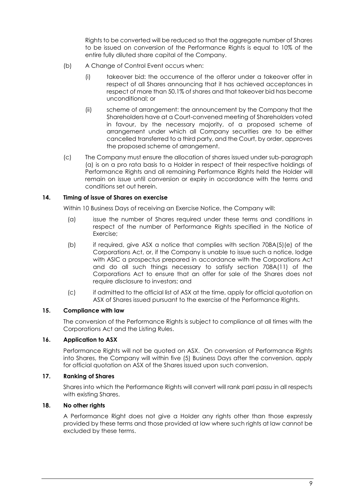Rights to be converted will be reduced so that the aggregate number of Shares to be issued on conversion of the Performance Rights is equal to 10% of the entire fully diluted share capital of the Company.

- (b) A Change of Control Event occurs when:
	- (i) takeover bid: the occurrence of the offeror under a takeover offer in respect of all Shares announcing that it has achieved acceptances in respect of more than 50.1% of shares and that takeover bid has become unconditional; or
	- (ii) scheme of arrangement: the announcement by the Company that the Shareholders have at a Court-convened meeting of Shareholders voted in favour, by the necessary majority, of a proposed scheme of arrangement under which all Company securities are to be either cancelled transferred to a third party, and the Court, by order, approves the proposed scheme of arrangement.
- (c) The Company must ensure the allocation of shares issued under sub-paragraph (a) is on a pro rata basis to a Holder in respect of their respective holdings of Performance Rights and all remaining Performance Rights held the Holder will remain on issue until conversion or expiry in accordance with the terms and conditions set out herein.

#### **14. Timing of issue of Shares on exercise**

Within 10 Business Days of receiving an Exercise Notice, the Company will:

- (a) issue the number of Shares required under these terms and conditions in respect of the number of Performance Rights specified in the Notice of Exercise;
- (b) if required, give ASX a notice that complies with section 708A(5)(e) of the Corporations Act, or, if the Company is unable to issue such a notice, lodge with ASIC a prospectus prepared in accordance with the Corporations Act and do all such things necessary to satisfy section 708A(11) of the Corporations Act to ensure that an offer for sale of the Shares does not require disclosure to investors; and
- (c) if admitted to the official list of ASX at the time, apply for official quotation on ASX of Shares issued pursuant to the exercise of the Performance Rights.

#### **15. Compliance with law**

The conversion of the Performance Rights is subject to compliance at all times with the Corporations Act and the Listing Rules.

#### **16. Application to ASX**

Performance Rights will not be quoted on ASX. On conversion of Performance Rights into Shares, the Company will within five (5) Business Days after the conversion, apply for official quotation on ASX of the Shares issued upon such conversion.

#### **17. Ranking of Shares**

Shares into which the Performance Rights will convert will rank parri passu in all respects with existing Shares.

#### **18. No other rights**

A Performance Right does not give a Holder any rights other than those expressly provided by these terms and those provided at law where such rights at law cannot be excluded by these terms.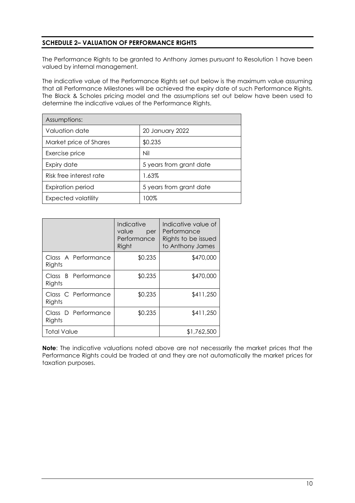# **SCHEDULE 2– VALUATION OF PERFORMANCE RIGHTS**

The Performance Rights to be granted to Anthony James pursuant to Resolution 1 have been valued by internal management*.*

The indicative value of the Performance Rights set out below is the maximum value assuming that all Performance Milestones will be achieved the expiry date of such Performance Rights. The Black & Scholes pricing model and the assumptions set out below have been used to determine the indicative values of the Performance Rights.

| Assumptions:             |                         |  |
|--------------------------|-------------------------|--|
| Valuation date           | 20 January 2022         |  |
| Market price of Shares   | \$0.235                 |  |
| Exercise price           | Nil                     |  |
| Expiry date              | 5 years from grant date |  |
| Risk free interest rate  | 1.63%                   |  |
| <b>Expiration period</b> | 5 years from grant date |  |
| Expected volatility      | 100%                    |  |

|                               | Indicative<br>value<br>per<br>Performance<br>Right | Indicative value of<br>Performance<br>Rights to be issued<br>to Anthony James |
|-------------------------------|----------------------------------------------------|-------------------------------------------------------------------------------|
| Class A Performance<br>Rights | \$0.235                                            | \$470,000                                                                     |
| Class B Performance<br>Rights | \$0.235                                            | \$470,000                                                                     |
| Class C Performance<br>Rights | \$0.235                                            | \$411,250                                                                     |
| Class D Performance<br>Rights | \$0.235                                            | \$411,250                                                                     |
| <b>Total Value</b>            |                                                    | \$1,762,500                                                                   |

**Note**: The indicative valuations noted above are not necessarily the market prices that the Performance Rights could be traded at and they are not automatically the market prices for taxation purposes.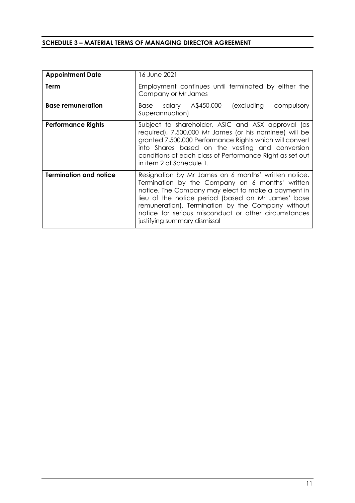#### **SCHEDULE 3 – MATERIAL TERMS OF MANAGING DIRECTOR AGREEMENT**

| <b>Appointment Date</b>       | 16 June 2021                                                                                                                                                                                                                                                                                                                                                     |  |  |  |
|-------------------------------|------------------------------------------------------------------------------------------------------------------------------------------------------------------------------------------------------------------------------------------------------------------------------------------------------------------------------------------------------------------|--|--|--|
| Term                          | Employment continues until terminated by either the<br>Company or Mr James                                                                                                                                                                                                                                                                                       |  |  |  |
| <b>Base remuneration</b>      | Base salary A\$450,000<br>(excluding<br>compulsory<br>Superannuation)                                                                                                                                                                                                                                                                                            |  |  |  |
| <b>Performance Rights</b>     | Subject to shareholder, ASIC and ASX approval (as<br>required), 7,500,000 Mr James (or his nominee) will be<br>granted 7,500,000 Performance Rights which will convert<br>into Shares based on the vesting and conversion<br>conditions of each class of Performance Right as set out<br>in item 2 of Schedule 1.                                                |  |  |  |
| <b>Termination and notice</b> | Resignation by Mr James on 6 months' written notice.<br>Termination by the Company on 6 months' written<br>notice. The Company may elect to make a payment in<br>lieu of the notice period (based on Mr James' base<br>remuneration). Termination by the Company without<br>notice for serious misconduct or other circumstances<br>justifying summary dismissal |  |  |  |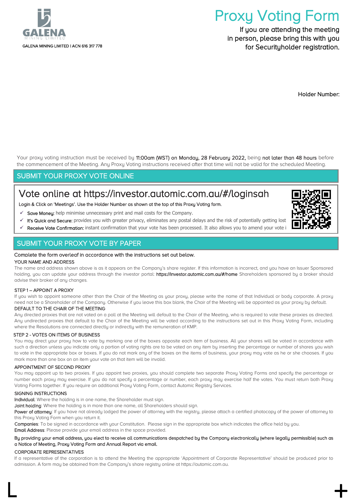

# Proxy Voting Form

If you are attending the meeting in person, please bring this with you for Securituholder registration.

Holder Number:

Your proxy voting instruction must be received by 11:00am (WST) on Monday, 28 February 2022, being not later than 48 hours before the commencement of the Meeting. Any Proxy Voting instructions received after that time will not be valid for the scheduled Meeting.

# SUBMIT YOUR PROXY VOTE ONLINE

# Vote online at<https://investor.automic.com.au/#/loginsah>

Login & Click on 'Meetings'. Use the Holder Number as shown at the top of this Proxy Voting form.

- Save Money: help minimise unnecessary print and mail costs for the Company.
- It's Quick and Secure: provides you with greater privacy, eliminates any postal delays and the risk of potentially getting lost
- Receive Vote Confirmation: instant confirmation that your vote has been processed. It also allows you to amend your vote i

## SUBMIT YOUR PROXY VOTE BY PAPER

#### Complete the form overleaf in accordance with the instructions set out below.

#### YOUR NAME AND ADDRESS

The name and address shown above is as it appears on the Company's share register. If this information is incorrect, and you have an Issuer Sponsored holding, you can update your address through the investor portal: https://investor.automic.com.au/#/home Shareholders sponsored by a broker should advise their broker of any changes.

#### STEP 1 – APPOINT A PROXY

If you wish to appoint someone other than the Chair of the Meeting as your proxy, please write the name of that Individual or body corporate. A proxy need not be a Shareholder of the Company. Otherwise if you leave this box blank, the Chair of the Meeting will be appointed as your proxy by default.

#### DEFAULT TO THE CHAIR OF THE MEETING

Any directed proxies that are not voted on a poll at the Meeting will default to the Chair of the Meeting, who is required to vote these proxies as directed. Any undirected proxies that default to the Chair of the Meeting will be voted according to the instructions set out in this Proxy Voting Form, including where the Resolutions are connected directly or indirectly with the remuneration of KMP.

#### STEP 2 - VOTES ON ITEMS OF BUSINESS

You may direct your proxy how to vote by marking one of the boxes opposite each item of business. All your shares will be voted in accordance with such a direction unless you indicate only a portion of voting rights are to be voted on any item by inserting the percentage or number of shares you wish to vote in the appropriate box or boxes. If you do not mark any of the boxes on the items of business, your proxy may vote as he or she chooses. If you mark more than one box on an item your vote on that item will be invalid.

#### APPOINTMENT OF SECOND PROXY

You may appoint up to two proxies. If you appoint two proxies, you should complete two separate Proxy Voting Forms and specify the percentage or number each proxy may exercise. If you do not specify a percentage or number, each proxy may exercise half the votes. You must return both Proxy Voting Forms together. If you require an additional Proxy Voting Form, contact Automic Registry Services.

#### SIGNING INSTRUCTIONS

Individual: Where the holding is in one name, the Shareholder must sign.

Joint holding: Where the holding is in more than one name, all Shareholders should sign.

Power of attorney: If you have not already lodged the power of attorney with the registry, please attach a certified photocopy of the power of attorney to this Proxu Voting Form when you return it.

Companies: To be signed in accordance with your Constitution. Please sign in the appropriate box which indicates the office held by you.

Email Address: Please provide your email address in the space provided.

#### By providing your email address, you elect to receive all communications despatched by the Company electronically (where legally permissible) such as a Notice of Meeting, Proxy Voting Form and Annual Report via email.

#### CORPORATE REPRESENTATIVES

If a representative of the corporation is to attend the Meeting the appropriate 'Appointment of Corporate Representative' should be produced prior to admission. A form may be obtained from the Company's share registry online at https://automic.com.au.

 $\Box$